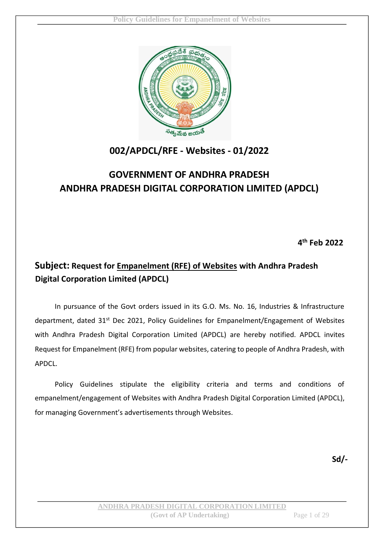

# **002/APDCL/RFE - Websites - 01/2022**

# **GOVERNMENT OF ANDHRA PRADESH ANDHRA PRADESH DIGITAL CORPORATION LIMITED (APDCL)**

**4 th Feb 2022**

# **Subject: Request for Empanelment (RFE) of Websites with Andhra Pradesh Digital Corporation Limited (APDCL)**

In pursuance of the Govt orders issued in its G.O. Ms. No. 16, Industries & Infrastructure department, dated 31<sup>st</sup> Dec 2021, Policy Guidelines for Empanelment/Engagement of Websites with Andhra Pradesh Digital Corporation Limited (APDCL) are hereby notified. APDCL invites Request for Empanelment (RFE) from popular websites, catering to people of Andhra Pradesh, with APDCL.

Policy Guidelines stipulate the eligibility criteria and terms and conditions of empanelment/engagement of Websites with Andhra Pradesh Digital Corporation Limited (APDCL), for managing Government's advertisements through Websites.

**Sd/-**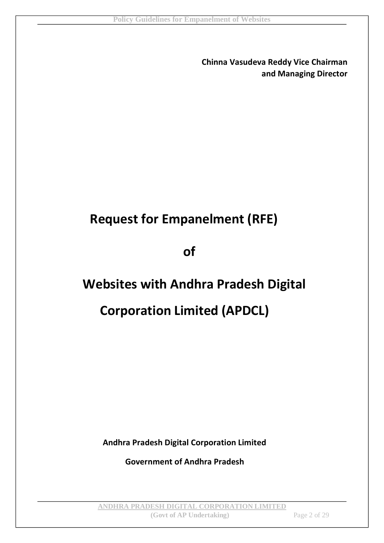**Chinna Vasudeva Reddy Vice Chairman and Managing Director** 

# **Request for Empanelment (RFE)**

**of** 

# **Websites with Andhra Pradesh Digital**

# **Corporation Limited (APDCL)**

**Andhra Pradesh Digital Corporation Limited** 

**Government of Andhra Pradesh**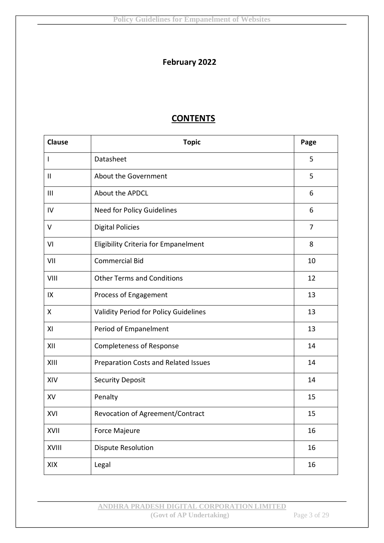# **February 2022**

# **CONTENTS**

| <b>Clause</b>  | <b>Topic</b>                                | Page |
|----------------|---------------------------------------------|------|
| I              | Datasheet                                   | 5    |
| Ш              | About the Government                        | 5    |
| $\mathbf{III}$ | About the APDCL                             | 6    |
| IV             | Need for Policy Guidelines                  | 6    |
| $\vee$         | <b>Digital Policies</b>                     | 7    |
| VI             | <b>Eligibility Criteria for Empanelment</b> | 8    |
| VII            | <b>Commercial Bid</b>                       | 10   |
| VIII           | <b>Other Terms and Conditions</b>           | 12   |
| IX             | Process of Engagement                       | 13   |
| X              | Validity Period for Policy Guidelines       | 13   |
| XI             | Period of Empanelment                       | 13   |
| XII            | <b>Completeness of Response</b>             | 14   |
| XIII           | Preparation Costs and Related Issues        | 14   |
| XIV            | <b>Security Deposit</b>                     | 14   |
| XV             | Penalty                                     | 15   |
| XVI            | Revocation of Agreement/Contract            | 15   |
| XVII           | Force Majeure                               | 16   |
| XVIII          | <b>Dispute Resolution</b>                   | 16   |
| XIX            | Legal                                       | 16   |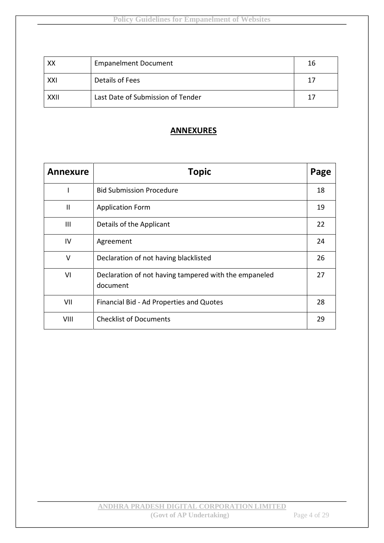| XX   | <b>Empanelment Document</b>       | 16 |
|------|-----------------------------------|----|
| XXI  | Details of Fees                   | 17 |
| XXII | Last Date of Submission of Tender | 17 |

### **ANNEXURES**

| <b>Annexure</b> | <b>Topic</b>                                                      |    |
|-----------------|-------------------------------------------------------------------|----|
|                 | <b>Bid Submission Procedure</b>                                   | 18 |
| $\mathbf{I}$    | <b>Application Form</b>                                           | 19 |
| Ш               | Details of the Applicant                                          | 22 |
| IV              | Agreement                                                         | 24 |
| V               | Declaration of not having blacklisted                             | 26 |
| VI              | Declaration of not having tampered with the empaneled<br>document | 27 |
| VII             | Financial Bid - Ad Properties and Quotes                          | 28 |
| VIII            | <b>Checklist of Documents</b>                                     | 29 |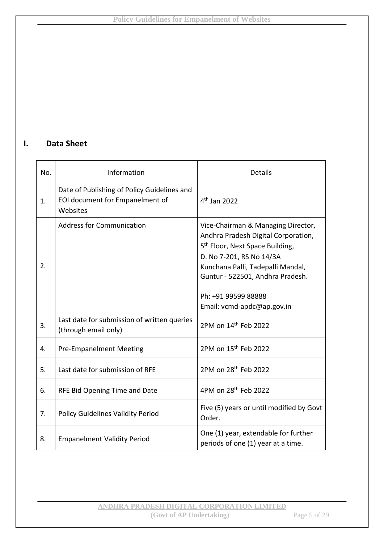# **I. Data Sheet**

| No. | Information                                                                                | Details                                                                                                                                                                                                                                                                            |
|-----|--------------------------------------------------------------------------------------------|------------------------------------------------------------------------------------------------------------------------------------------------------------------------------------------------------------------------------------------------------------------------------------|
| 1.  | Date of Publishing of Policy Guidelines and<br>EOI document for Empanelment of<br>Websites | $4th$ Jan 2022                                                                                                                                                                                                                                                                     |
| 2.  | <b>Address for Communication</b>                                                           | Vice-Chairman & Managing Director,<br>Andhra Pradesh Digital Corporation,<br>5 <sup>th</sup> Floor, Next Space Building,<br>D. No 7-201, RS No 14/3A<br>Kunchana Palli, Tadepalli Mandal,<br>Guntur - 522501, Andhra Pradesh.<br>Ph: +91 99599 88888<br>Email: vcmd-apdc@ap.gov.in |
| 3.  | Last date for submission of written queries<br>(through email only)                        | 2PM on 14 <sup>th</sup> Feb 2022                                                                                                                                                                                                                                                   |
| 4.  | <b>Pre-Empanelment Meeting</b>                                                             | 2PM on 15 <sup>th</sup> Feb 2022                                                                                                                                                                                                                                                   |
| 5.  | Last date for submission of RFE                                                            | 2PM on 28 <sup>th</sup> Feb 2022                                                                                                                                                                                                                                                   |
| 6.  | RFE Bid Opening Time and Date                                                              | 4PM on 28 <sup>th</sup> Feb 2022                                                                                                                                                                                                                                                   |
| 7.  | <b>Policy Guidelines Validity Period</b>                                                   | Five (5) years or until modified by Govt<br>Order.                                                                                                                                                                                                                                 |
| 8.  | <b>Empanelment Validity Period</b>                                                         | One (1) year, extendable for further<br>periods of one (1) year at a time.                                                                                                                                                                                                         |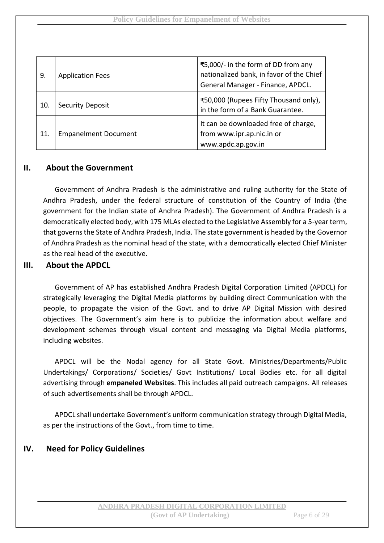| 9.  | <b>Application Fees</b>     | ₹5,000/- in the form of DD from any<br>nationalized bank, in favor of the Chief<br>General Manager - Finance, APDCL. |
|-----|-----------------------------|----------------------------------------------------------------------------------------------------------------------|
| 10. | <b>Security Deposit</b>     | ₹50,000 (Rupees Fifty Thousand only),<br>in the form of a Bank Guarantee.                                            |
| 11. | <b>Empanelment Document</b> | It can be downloaded free of charge,<br>from www.ipr.ap.nic.in or<br>www.apdc.ap.gov.in                              |

#### **II. About the Government**

Government of Andhra Pradesh is the administrative and ruling authority for the State of Andhra Pradesh, under the federal structure of constitution of the Country of India (the government for the Indian state of Andhra Pradesh). The Government of Andhra Pradesh is a democratically elected body, with 175 MLAs elected to the Legislative Assembly for a 5-year term, that governs the State of Andhra Pradesh, India. The state government is headed by the Governor of Andhra Pradesh as the nominal head of the state, with a democratically elected Chief Minister as the real head of the executive.

#### **III. About the APDCL**

Government of AP has established Andhra Pradesh Digital Corporation Limited (APDCL) for strategically leveraging the Digital Media platforms by building direct Communication with the people, to propagate the vision of the Govt. and to drive AP Digital Mission with desired objectives. The Government's aim here is to publicize the information about welfare and development schemes through visual content and messaging via Digital Media platforms, including websites.

APDCL will be the Nodal agency for all State Govt. Ministries/Departments/Public Undertakings/ Corporations/ Societies/ Govt Institutions/ Local Bodies etc. for all digital advertising through **empaneled Websites**. This includes all paid outreach campaigns. All releases of such advertisements shall be through APDCL.

APDCL shall undertake Government's uniform communication strategy through Digital Media, as per the instructions of the Govt., from time to time.

#### **IV. Need for Policy Guidelines**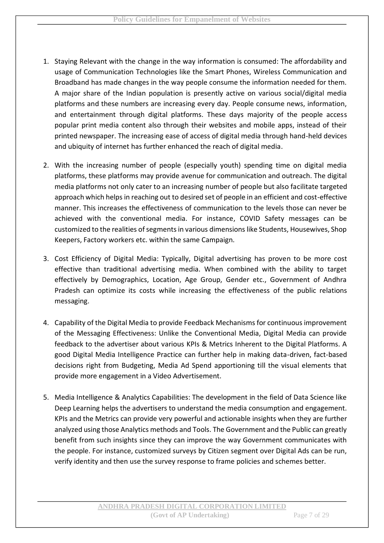- 1. Staying Relevant with the change in the way information is consumed: The affordability and usage of Communication Technologies like the Smart Phones, Wireless Communication and Broadband has made changes in the way people consume the information needed for them. A major share of the Indian population is presently active on various social/digital media platforms and these numbers are increasing every day. People consume news, information, and entertainment through digital platforms. These days majority of the people access popular print media content also through their websites and mobile apps, instead of their printed newspaper. The increasing ease of access of digital media through hand-held devices and ubiquity of internet has further enhanced the reach of digital media.
- 2. With the increasing number of people (especially youth) spending time on digital media platforms, these platforms may provide avenue for communication and outreach. The digital media platforms not only cater to an increasing number of people but also facilitate targeted approach which helps in reaching out to desired set of people in an efficient and cost-effective manner. This increases the effectiveness of communication to the levels those can never be achieved with the conventional media. For instance, COVID Safety messages can be customized to the realities of segments in various dimensions like Students, Housewives, Shop Keepers, Factory workers etc. within the same Campaign.
- 3. Cost Efficiency of Digital Media: Typically, Digital advertising has proven to be more cost effective than traditional advertising media. When combined with the ability to target effectively by Demographics, Location, Age Group, Gender etc., Government of Andhra Pradesh can optimize its costs while increasing the effectiveness of the public relations messaging.
- 4. Capability of the Digital Media to provide Feedback Mechanisms for continuous improvement of the Messaging Effectiveness: Unlike the Conventional Media, Digital Media can provide feedback to the advertiser about various KPIs & Metrics Inherent to the Digital Platforms. A good Digital Media Intelligence Practice can further help in making data-driven, fact-based decisions right from Budgeting, Media Ad Spend apportioning till the visual elements that provide more engagement in a Video Advertisement.
- 5. Media Intelligence & Analytics Capabilities: The development in the field of Data Science like Deep Learning helps the advertisers to understand the media consumption and engagement. KPIs and the Metrics can provide very powerful and actionable insights when they are further analyzed using those Analytics methods and Tools. The Government and the Public can greatly benefit from such insights since they can improve the way Government communicates with the people. For instance, customized surveys by Citizen segment over Digital Ads can be run, verify identity and then use the survey response to frame policies and schemes better.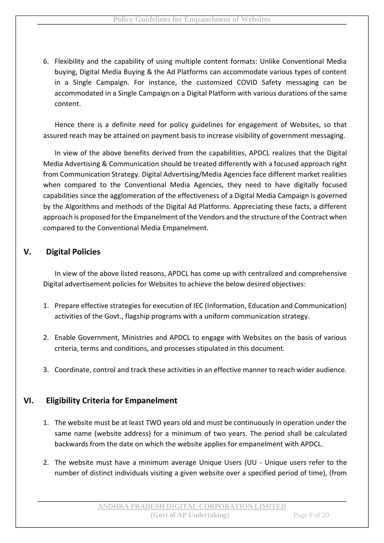6. Flexibility and the capability of using multiple content formats: Unlike Conventional Media buying, Digital Media Buying & the Ad Platforms can accommodate various types of content in a Single Campaign. For instance, the customized COVID Safety messaging can be accommodated in a Single Campaign on a Digital Platform with various durations of the same content.

Hence there is a definite need for policy guidelines for engagement of Websites, so that assured reach may be attained on payment basis to increase visibility of government messaging.

In view of the above benefits derived from the capabilities, APDCL realizes that the Digital Media Advertising & Communication should be treated differently with a focused approach right from Communication Strategy. Digital Advertising/Media Agencies face different market realities when compared to the Conventional Media Agencies, they need to have digitally focused capabilities since the agglomeration of the effectiveness of a Digital Media Campaign is governed by the Algorithms and methods of the Digital Ad Platforms. Appreciating these facts, a different approach is proposed for the Empanelment of the Vendors and the structure of the Contract when compared to the Conventional Media Empanelment.

# **V. Digital Policies**

In view of the above listed reasons, APDCL has come up with centralized and comprehensive Digital advertisement policies for Websites to achieve the below desired objectives:

- 1. Prepare effective strategies for execution of IEC (Information, Education and Communication) activities of the Govt., flagship programs with a uniform communication strategy.
- 2. Enable Government, Ministries and APDCL to engage with Websites on the basis of various criteria, terms and conditions, and processes stipulated in this document.
- 3. Coordinate, control and track these activities in an effective manner to reach wider audience.

#### **VI. Eligibility Criteria for Empanelment**

- 1. The website must be at least TWO years old and must be continuously in operation under the same name (website address) for a minimum of two years. The period shall be calculated backwards from the date on which the website applies for empanelment with APDCL.
- 2. The website must have a minimum average Unique Users (UU Unique users refer to the number of distinct individuals visiting a given website over a specified period of time), (from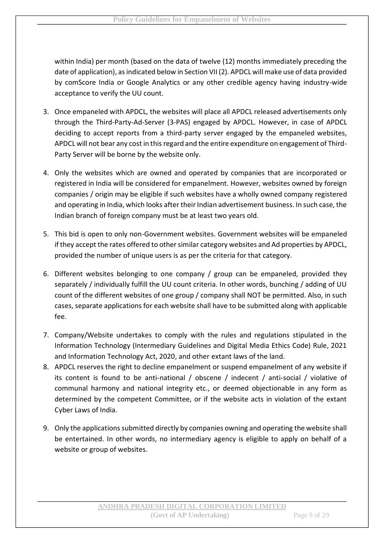within India) per month (based on the data of twelve (12) months immediately preceding the date of application), as indicated below in Section VII (2). APDCL will make use of data provided by comScore India or Google Analytics or any other credible agency having industry-wide acceptance to verify the UU count.

- 3. Once empaneled with APDCL, the websites will place all APDCL released advertisements only through the Third-Party-Ad-Server (3-PAS) engaged by APDCL. However, in case of APDCL deciding to accept reports from a third-party server engaged by the empaneled websites, APDCL will not bear any cost in this regard and the entire expenditure on engagement of Third-Party Server will be borne by the website only.
- 4. Only the websites which are owned and operated by companies that are incorporated or registered in India will be considered for empanelment. However, websites owned by foreign companies / origin may be eligible if such websites have a wholly owned company registered and operating in India, which looks after their Indian advertisement business. In such case, the Indian branch of foreign company must be at least two years old.
- 5. This bid is open to only non-Government websites. Government websites will be empaneled if they accept the rates offered to other similar category websites and Ad properties by APDCL, provided the number of unique users is as per the criteria for that category.
- 6. Different websites belonging to one company / group can be empaneled, provided they separately / individually fulfill the UU count criteria. In other words, bunching / adding of UU count of the different websites of one group / company shall NOT be permitted. Also, in such cases, separate applications for each website shall have to be submitted along with applicable fee.
- 7. Company/Website undertakes to comply with the rules and regulations stipulated in the Information Technology (Intermediary Guidelines and Digital Media Ethics Code) Rule, 2021 and Information Technology Act, 2020, and other extant laws of the land.
- 8. APDCL reserves the right to decline empanelment or suspend empanelment of any website if its content is found to be anti-national / obscene / indecent / anti-social / violative of communal harmony and national integrity etc., or deemed objectionable in any form as determined by the competent Committee, or if the website acts in violation of the extant Cyber Laws of India.
- 9. Only the applications submitted directly by companies owning and operating the website shall be entertained. In other words, no intermediary agency is eligible to apply on behalf of a website or group of websites.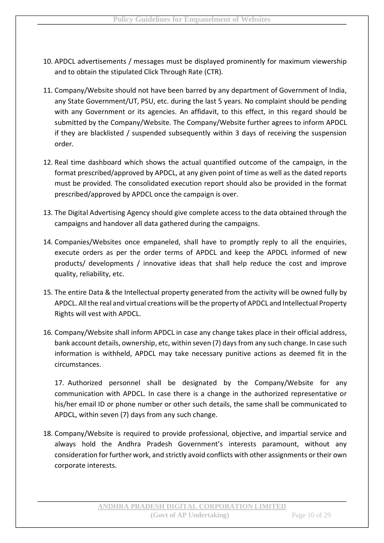- 10. APDCL advertisements / messages must be displayed prominently for maximum viewership and to obtain the stipulated Click Through Rate (CTR).
- 11. Company/Website should not have been barred by any department of Government of India, any State Government/UT, PSU, etc. during the last 5 years. No complaint should be pending with any Government or its agencies. An affidavit, to this effect, in this regard should be submitted by the Company/Website. The Company/Website further agrees to inform APDCL if they are blacklisted / suspended subsequently within 3 days of receiving the suspension order.
- 12. Real time dashboard which shows the actual quantified outcome of the campaign, in the format prescribed/approved by APDCL, at any given point of time as well as the dated reports must be provided. The consolidated execution report should also be provided in the format prescribed/approved by APDCL once the campaign is over.
- 13. The Digital Advertising Agency should give complete access to the data obtained through the campaigns and handover all data gathered during the campaigns.
- 14. Companies/Websites once empaneled, shall have to promptly reply to all the enquiries, execute orders as per the order terms of APDCL and keep the APDCL informed of new products/ developments / innovative ideas that shall help reduce the cost and improve quality, reliability, etc.
- 15. The entire Data & the Intellectual property generated from the activity will be owned fully by APDCL. All the real and virtual creations will be the property of APDCL and Intellectual Property Rights will vest with APDCL.
- 16. Company/Website shall inform APDCL in case any change takes place in their official address, bank account details, ownership, etc, within seven (7) days from any such change. In case such information is withheld, APDCL may take necessary punitive actions as deemed fit in the circumstances.

17. Authorized personnel shall be designated by the Company/Website for any communication with APDCL. In case there is a change in the authorized representative or his/her email ID or phone number or other such details, the same shall be communicated to APDCL, within seven (7) days from any such change.

18. Company/Website is required to provide professional, objective, and impartial service and always hold the Andhra Pradesh Government's interests paramount, without any consideration for further work, and strictly avoid conflicts with other assignments or their own corporate interests.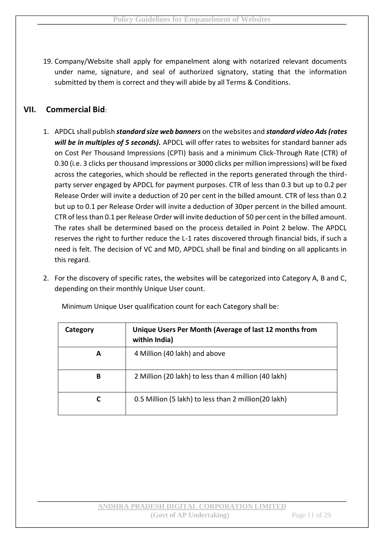19. Company/Website shall apply for empanelment along with notarized relevant documents under name, signature, and seal of authorized signatory, stating that the information submitted by them is correct and they will abide by all Terms & Conditions.

# **VII. Commercial Bid**:

- 1. APDCL shall publish *standard size web banners* on the websites and *standard video Ads (rates will be in multiples of 5 seconds).* APDCL will offer rates to websites for standard banner ads on Cost Per Thousand Impressions (CPTI) basis and a minimum Click-Through Rate (CTR) of 0.30 (i.e. 3 clicks per thousand impressions or 3000 clicks per million impressions) will be fixed across the categories, which should be reflected in the reports generated through the thirdparty server engaged by APDCL for payment purposes. CTR of less than 0.3 but up to 0.2 per Release Order will invite a deduction of 20 per cent in the billed amount. CTR of less than 0.2 but up to 0.1 per Release Order will invite a deduction of 30per percent in the billed amount. CTR of less than 0.1 per Release Order will invite deduction of 50 per cent in the billed amount. The rates shall be determined based on the process detailed in Point 2 below. The APDCL reserves the right to further reduce the L-1 rates discovered through financial bids, if such a need is felt. The decision of VC and MD, APDCL shall be final and binding on all applicants in this regard.
- 2. For the discovery of specific rates, the websites will be categorized into Category A, B and C, depending on their monthly Unique User count.

| Category | Unique Users Per Month (Average of last 12 months from<br>within India) |  |
|----------|-------------------------------------------------------------------------|--|
| A        | 4 Million (40 lakh) and above                                           |  |
| В        | 2 Million (20 lakh) to less than 4 million (40 lakh)                    |  |
| C        | 0.5 Million (5 lakh) to less than 2 million (20 lakh)                   |  |

Minimum Unique User qualification count for each Category shall be: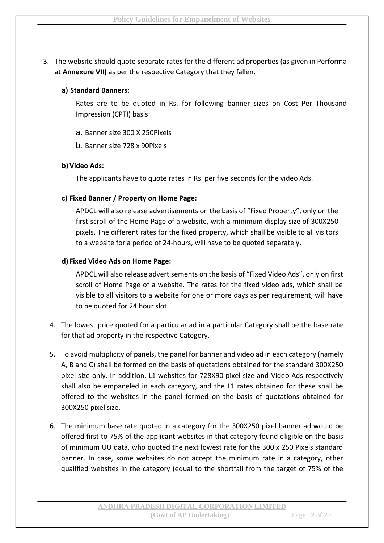3. The website should quote separate rates for the different ad properties (as given in Performa at **Annexure VII)** as per the respective Category that they fallen.

#### **a) Standard Banners:**

Rates are to be quoted in Rs. for following banner sizes on Cost Per Thousand Impression (CPTI) basis:

- a. Banner size 300 X 250Pixels
- b. Banner size 728 x 90Pixels

#### **b) Video Ads:**

The applicants have to quote rates in Rs. per five seconds for the video Ads.

#### **c) Fixed Banner / Property on Home Page:**

APDCL will also release advertisements on the basis of "Fixed Property", only on the first scroll of the Home Page of a website, with a minimum display size of 300X250 pixels. The different rates for the fixed property, which shall be visible to all visitors to a website for a period of 24-hours, will have to be quoted separately.

#### **d) Fixed Video Ads on Home Page:**

APDCL will also release advertisements on the basis of "Fixed Video Ads", only on first scroll of Home Page of a website. The rates for the fixed video ads, which shall be visible to all visitors to a website for one or more days as per requirement, will have to be quoted for 24 hour slot.

- 4. The lowest price quoted for a particular ad in a particular Category shall be the base rate for that ad property in the respective Category.
- 5. To avoid multiplicity of panels, the panel for banner and video ad in each category (namely A, B and C) shall be formed on the basis of quotations obtained for the standard 300X250 pixel size only. In addition, L1 websites for 728X90 pixel size and Video Ads respectively shall also be empaneled in each category, and the L1 rates obtained for these shall be offered to the websites in the panel formed on the basis of quotations obtained for 300X250 pixel size.
- 6. The minimum base rate quoted in a category for the 300X250 pixel banner ad would be offered first to 75% of the applicant websites in that category found eligible on the basis of minimum UU data, who quoted the next lowest rate for the 300 x 250 Pixels standard banner. In case, some websites do not accept the minimum rate in a category, other qualified websites in the category (equal to the shortfall from the target of 75% of the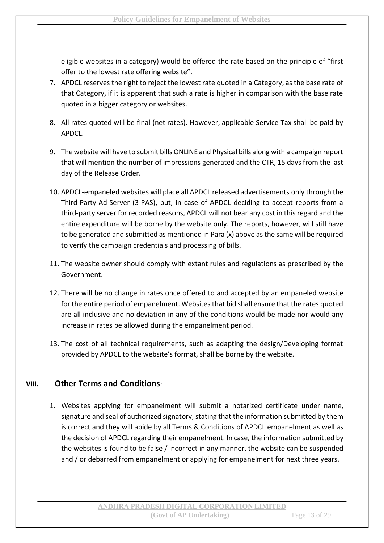eligible websites in a category) would be offered the rate based on the principle of "first offer to the lowest rate offering website".

- 7. APDCL reserves the right to reject the lowest rate quoted in a Category, as the base rate of that Category, if it is apparent that such a rate is higher in comparison with the base rate quoted in a bigger category or websites.
- 8. All rates quoted will be final (net rates). However, applicable Service Tax shall be paid by APDCL.
- 9. The website will have to submit bills ONLINE and Physical bills along with a campaign report that will mention the number of impressions generated and the CTR, 15 days from the last day of the Release Order.
- 10. APDCL-empaneled websites will place all APDCL released advertisements only through the Third-Party-Ad-Server (3-PAS), but, in case of APDCL deciding to accept reports from a third-party server for recorded reasons, APDCL will not bear any cost in this regard and the entire expenditure will be borne by the website only. The reports, however, will still have to be generated and submitted as mentioned in Para (x) above as the same will be required to verify the campaign credentials and processing of bills.
- 11. The website owner should comply with extant rules and regulations as prescribed by the Government.
- 12. There will be no change in rates once offered to and accepted by an empaneled website for the entire period of empanelment. Websites that bid shall ensure that the rates quoted are all inclusive and no deviation in any of the conditions would be made nor would any increase in rates be allowed during the empanelment period.
- 13. The cost of all technical requirements, such as adapting the design/Developing format provided by APDCL to the website's format, shall be borne by the website.

# **VIII. Other Terms and Conditions**:

1. Websites applying for empanelment will submit a notarized certificate under name, signature and seal of authorized signatory, stating that the information submitted by them is correct and they will abide by all Terms & Conditions of APDCL empanelment as well as the decision of APDCL regarding their empanelment. In case, the information submitted by the websites is found to be false / incorrect in any manner, the website can be suspended and / or debarred from empanelment or applying for empanelment for next three years.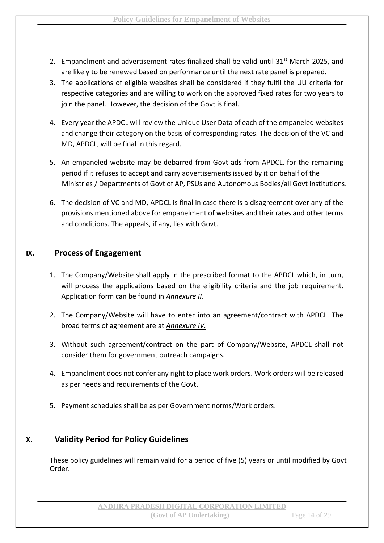- 2. Empanelment and advertisement rates finalized shall be valid until 31<sup>st</sup> March 2025, and are likely to be renewed based on performance until the next rate panel is prepared.
- 3. The applications of eligible websites shall be considered if they fulfil the UU criteria for respective categories and are willing to work on the approved fixed rates for two years to join the panel. However, the decision of the Govt is final.
- 4. Every year the APDCL will review the Unique User Data of each of the empaneled websites and change their category on the basis of corresponding rates. The decision of the VC and MD, APDCL, will be final in this regard.
- 5. An empaneled website may be debarred from Govt ads from APDCL, for the remaining period if it refuses to accept and carry advertisements issued by it on behalf of the Ministries / Departments of Govt of AP, PSUs and Autonomous Bodies/all Govt Institutions.
- 6. The decision of VC and MD, APDCL is final in case there is a disagreement over any of the provisions mentioned above for empanelment of websites and their rates and other terms and conditions. The appeals, if any, lies with Govt.

#### **IX. Process of Engagement**

- 1. The Company/Website shall apply in the prescribed format to the APDCL which, in turn, will process the applications based on the eligibility criteria and the job requirement. Application form can be found in *Annexure II.*
- 2. The Company/Website will have to enter into an agreement/contract with APDCL. The broad terms of agreement are at *Annexure IV.*
- 3. Without such agreement/contract on the part of Company/Website, APDCL shall not consider them for government outreach campaigns.
- 4. Empanelment does not confer any right to place work orders. Work orders will be released as per needs and requirements of the Govt.
- 5. Payment schedules shall be as per Government norms/Work orders.

# **X. Validity Period for Policy Guidelines**

These policy guidelines will remain valid for a period of five (5) years or until modified by Govt Order.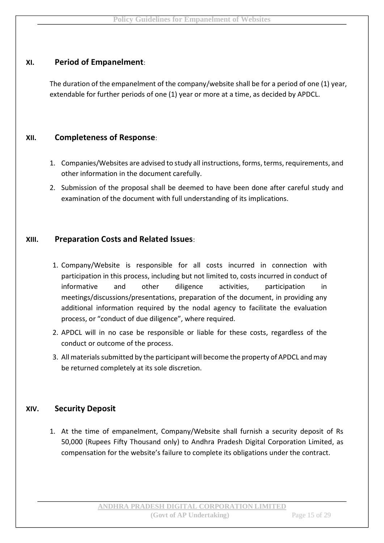### **XI. Period of Empanelment**:

The duration of the empanelment of the company/website shall be for a period of one (1) year, extendable for further periods of one (1) year or more at a time, as decided by APDCL.

#### **XII. Completeness of Response**:

- 1. Companies/Websites are advised to study all instructions, forms, terms, requirements, and other information in the document carefully.
- 2. Submission of the proposal shall be deemed to have been done after careful study and examination of the document with full understanding of its implications.

#### **XIII. Preparation Costs and Related Issues**:

- 1. Company/Website is responsible for all costs incurred in connection with participation in this process, including but not limited to, costs incurred in conduct of informative and other diligence activities, participation in meetings/discussions/presentations, preparation of the document, in providing any additional information required by the nodal agency to facilitate the evaluation process, or "conduct of due diligence", where required.
- 2. APDCL will in no case be responsible or liable for these costs, regardless of the conduct or outcome of the process.
- 3. All materials submitted by the participant will become the property of APDCL and may be returned completely at its sole discretion.

# **XIV. Security Deposit**

1. At the time of empanelment, Company/Website shall furnish a security deposit of Rs 50,000 (Rupees Fifty Thousand only) to Andhra Pradesh Digital Corporation Limited, as compensation for the website's failure to complete its obligations under the contract.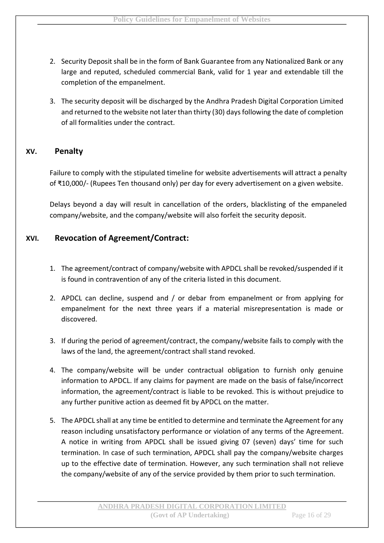- 2. Security Deposit shall be in the form of Bank Guarantee from any Nationalized Bank or any large and reputed, scheduled commercial Bank, valid for 1 year and extendable till the completion of the empanelment.
- 3. The security deposit will be discharged by the Andhra Pradesh Digital Corporation Limited and returned to the website not later than thirty (30) days following the date of completion of all formalities under the contract.

#### **XV. Penalty**

Failure to comply with the stipulated timeline for website advertisements will attract a penalty of ₹10,000/- (Rupees Ten thousand only) per day for every advertisement on a given website.

Delays beyond a day will result in cancellation of the orders, blacklisting of the empaneled company/website, and the company/website will also forfeit the security deposit.

#### **XVI. Revocation of Agreement/Contract:**

- 1. The agreement/contract of company/website with APDCL shall be revoked/suspended if it is found in contravention of any of the criteria listed in this document.
- 2. APDCL can decline, suspend and / or debar from empanelment or from applying for empanelment for the next three years if a material misrepresentation is made or discovered.
- 3. If during the period of agreement/contract, the company/website fails to comply with the laws of the land, the agreement/contract shall stand revoked.
- 4. The company/website will be under contractual obligation to furnish only genuine information to APDCL. If any claims for payment are made on the basis of false/incorrect information, the agreement/contract is liable to be revoked. This is without prejudice to any further punitive action as deemed fit by APDCL on the matter.
- 5. The APDCL shall at any time be entitled to determine and terminate the Agreement for any reason including unsatisfactory performance or violation of any terms of the Agreement. A notice in writing from APDCL shall be issued giving 07 (seven) days' time for such termination. In case of such termination, APDCL shall pay the company/website charges up to the effective date of termination. However, any such termination shall not relieve the company/website of any of the service provided by them prior to such termination.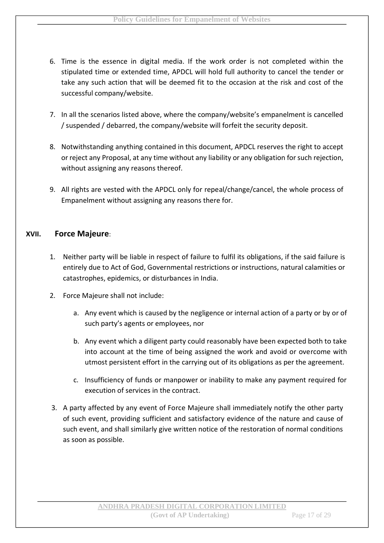- 6. Time is the essence in digital media. If the work order is not completed within the stipulated time or extended time, APDCL will hold full authority to cancel the tender or take any such action that will be deemed fit to the occasion at the risk and cost of the successful company/website.
- 7. In all the scenarios listed above, where the company/website's empanelment is cancelled / suspended / debarred, the company/website will forfeit the security deposit.
- 8. Notwithstanding anything contained in this document, APDCL reserves the right to accept or reject any Proposal, at any time without any liability or any obligation for such rejection, without assigning any reasons thereof.
- 9. All rights are vested with the APDCL only for repeal/change/cancel, the whole process of Empanelment without assigning any reasons there for.

#### **XVII. Force Majeure**:

- 1. Neither party will be liable in respect of failure to fulfil its obligations, if the said failure is entirely due to Act of God, Governmental restrictions or instructions, natural calamities or catastrophes, epidemics, or disturbances in India.
- 2. Force Majeure shall not include:
	- a. Any event which is caused by the negligence or internal action of a party or by or of such party's agents or employees, nor
	- b. Any event which a diligent party could reasonably have been expected both to take into account at the time of being assigned the work and avoid or overcome with utmost persistent effort in the carrying out of its obligations as per the agreement.
	- c. Insufficiency of funds or manpower or inability to make any payment required for execution of services in the contract.
- 3. A party affected by any event of Force Majeure shall immediately notify the other party of such event, providing sufficient and satisfactory evidence of the nature and cause of such event, and shall similarly give written notice of the restoration of normal conditions as soon as possible.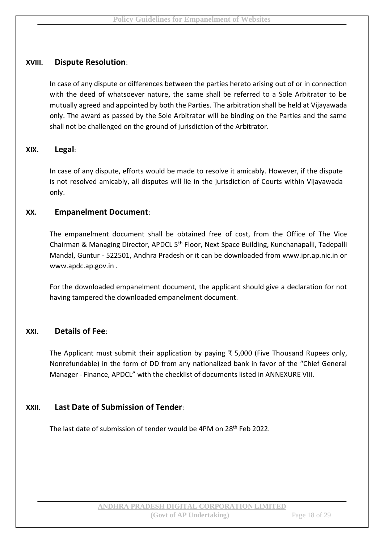#### **XVIII. Dispute Resolution**:

In case of any dispute or differences between the parties hereto arising out of or in connection with the deed of whatsoever nature, the same shall be referred to a Sole Arbitrator to be mutually agreed and appointed by both the Parties. The arbitration shall be held at Vijayawada only. The award as passed by the Sole Arbitrator will be binding on the Parties and the same shall not be challenged on the ground of jurisdiction of the Arbitrator.

#### **XIX. Legal**:

In case of any dispute, efforts would be made to resolve it amicably. However, if the dispute is not resolved amicably, all disputes will lie in the jurisdiction of Courts within Vijayawada only.

#### **XX. Empanelment Document**:

The empanelment document shall be obtained free of cost, from the Office of The Vice Chairman & Managing Director, APDCL 5th Floor, Next Space Building, Kunchanapalli, Tadepalli Mandal, Guntur - 522501, Andhra Pradesh or it can be downloaded from www.ipr.ap.nic.in or www.apdc.ap.gov.in .

For the downloaded empanelment document, the applicant should give a declaration for not having tampered the downloaded empanelment document.

#### **XXI. Details of Fee**:

The Applicant must submit their application by paying ₹ 5,000 (Five Thousand Rupees only, Nonrefundable) in the form of DD from any nationalized bank in favor of the "Chief General Manager - Finance, APDCL" with the checklist of documents listed in ANNEXURE VIII.

# **XXII. Last Date of Submission of Tender**:

The last date of submission of tender would be 4PM on 28<sup>th</sup> Feb 2022.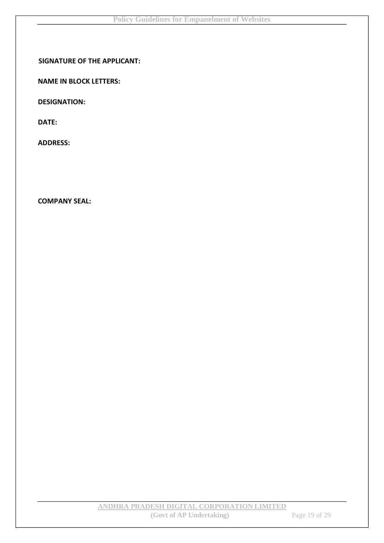#### **SIGNATURE OF THE APPLICANT:**

**NAME IN BLOCK LETTERS:** 

**DESIGNATION:** 

**DATE:** 

**ADDRESS:** 

**COMPANY SEAL:**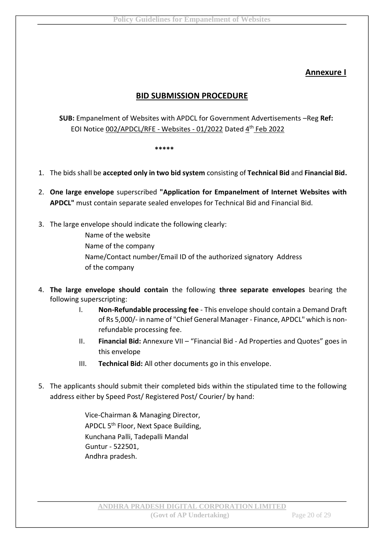# **Annexure I**

# **BID SUBMISSION PROCEDURE**

**SUB:** Empanelment of Websites with APDCL for Government Advertisements –Reg **Ref:** EOI Notice 002/APDCL/RFE - Websites - 01/2022 Dated 4th Feb 2022

**\*\*\*\*\***

- 1. The bids shall be **accepted only in two bid system** consisting of **Technical Bid** and **Financial Bid.**
- 2. **One large envelope** superscribed **"Application for Empanelment of Internet Websites with APDCL"** must contain separate sealed envelopes for Technical Bid and Financial Bid.
- 3. The large envelope should indicate the following clearly:
	- Name of the website Name of the company Name/Contact number/Email ID of the authorized signatory Address of the company
- 4. **The large envelope should contain** the following **three separate envelopes** bearing the following superscripting:
	- I. **Non-Refundable processing fee** This envelope should contain a Demand Draft of Rs 5,000/- in name of "Chief General Manager - Finance, APDCL" which is nonrefundable processing fee.
	- II. **Financial Bid:** Annexure VII "Financial Bid Ad Properties and Quotes" goes in this envelope
	- III. **Technical Bid:** All other documents go in this envelope.
- 5. The applicants should submit their completed bids within the stipulated time to the following address either by Speed Post/ Registered Post/ Courier/ by hand:

Vice-Chairman & Managing Director, APDCL 5th Floor, Next Space Building, Kunchana Palli, Tadepalli Mandal Guntur - 522501, Andhra pradesh.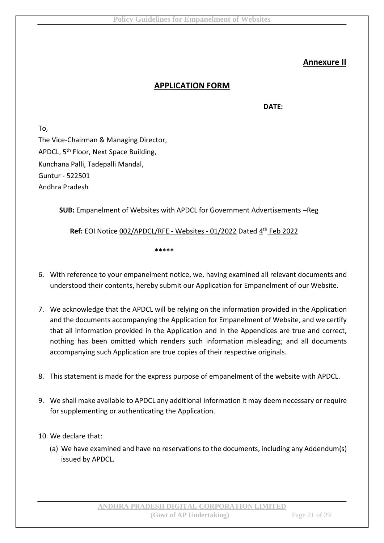# **Annexure II**

#### **APPLICATION FORM**

**DATE:**

To, The Vice-Chairman & Managing Director, APDCL, 5<sup>th</sup> Floor, Next Space Building, Kunchana Palli, Tadepalli Mandal, Guntur - 522501 Andhra Pradesh

**SUB:** Empanelment of Websites with APDCL for Government Advertisements –Reg

Ref: EOI Notice 002/APDCL/RFE - Websites - 01/2022 Dated 4<sup>th</sup> Feb 2022

**\*\*\*\*\***

- 6. With reference to your empanelment notice, we, having examined all relevant documents and understood their contents, hereby submit our Application for Empanelment of our Website.
- 7. We acknowledge that the APDCL will be relying on the information provided in the Application and the documents accompanying the Application for Empanelment of Website, and we certify that all information provided in the Application and in the Appendices are true and correct, nothing has been omitted which renders such information misleading; and all documents accompanying such Application are true copies of their respective originals.
- 8. This statement is made for the express purpose of empanelment of the website with APDCL.
- 9. We shall make available to APDCL any additional information it may deem necessary or require for supplementing or authenticating the Application.
- 10. We declare that:
	- (a) We have examined and have no reservations to the documents, including any Addendum(s) issued by APDCL.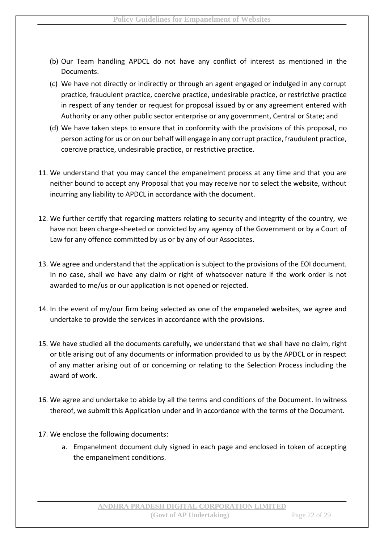- (b) Our Team handling APDCL do not have any conflict of interest as mentioned in the Documents.
- (c) We have not directly or indirectly or through an agent engaged or indulged in any corrupt practice, fraudulent practice, coercive practice, undesirable practice, or restrictive practice in respect of any tender or request for proposal issued by or any agreement entered with Authority or any other public sector enterprise or any government, Central or State; and
- (d) We have taken steps to ensure that in conformity with the provisions of this proposal, no person acting for us or on our behalf will engage in any corrupt practice, fraudulent practice, coercive practice, undesirable practice, or restrictive practice.
- 11. We understand that you may cancel the empanelment process at any time and that you are neither bound to accept any Proposal that you may receive nor to select the website, without incurring any liability to APDCL in accordance with the document.
- 12. We further certify that regarding matters relating to security and integrity of the country, we have not been charge-sheeted or convicted by any agency of the Government or by a Court of Law for any offence committed by us or by any of our Associates.
- 13. We agree and understand that the application is subject to the provisions of the EOI document. In no case, shall we have any claim or right of whatsoever nature if the work order is not awarded to me/us or our application is not opened or rejected.
- 14. In the event of my/our firm being selected as one of the empaneled websites, we agree and undertake to provide the services in accordance with the provisions.
- 15. We have studied all the documents carefully, we understand that we shall have no claim, right or title arising out of any documents or information provided to us by the APDCL or in respect of any matter arising out of or concerning or relating to the Selection Process including the award of work.
- 16. We agree and undertake to abide by all the terms and conditions of the Document. In witness thereof, we submit this Application under and in accordance with the terms of the Document.
- 17. We enclose the following documents:
	- a. Empanelment document duly signed in each page and enclosed in token of accepting the empanelment conditions.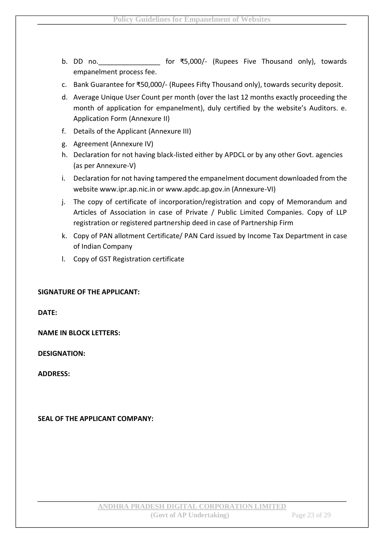- b. DD no.\_\_\_\_\_\_\_\_\_\_\_\_\_\_\_\_ for ₹5,000/- (Rupees Five Thousand only), towards empanelment process fee.
- c. Bank Guarantee for ₹50,000/- (Rupees Fifty Thousand only), towards security deposit.
- d. Average Unique User Count per month (over the last 12 months exactly proceeding the month of application for empanelment), duly certified by the website's Auditors. e. Application Form (Annexure II)
- f. Details of the Applicant (Annexure III)
- g. Agreement (Annexure IV)
- h. Declaration for not having black-listed either by APDCL or by any other Govt. agencies (as per Annexure-V)
- i. Declaration for not having tampered the empanelment document downloaded from the website www.ipr.ap.nic.in or www.apdc.ap.gov.in (Annexure-VI)
- j. The copy of certificate of incorporation/registration and copy of Memorandum and Articles of Association in case of Private / Public Limited Companies. Copy of LLP registration or registered partnership deed in case of Partnership Firm
- k. Copy of PAN allotment Certificate/ PAN Card issued by Income Tax Department in case of Indian Company
- l. Copy of GST Registration certificate

#### **SIGNATURE OF THE APPLICANT:**

**DATE:** 

**NAME IN BLOCK LETTERS:** 

**DESIGNATION:** 

**ADDRESS:** 

#### **SEAL OF THE APPLICANT COMPANY:**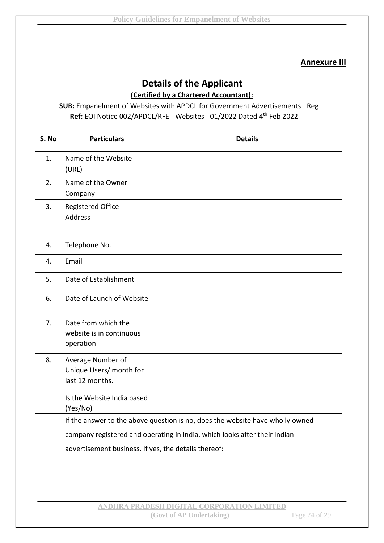#### **Annexure III**

# **Details of the Applicant**

**(Certified by a Chartered Accountant):**

**SUB:** Empanelment of Websites with APDCL for Government Advertisements –Reg Ref: EOI Notice 002/APDCL/RFE - Websites - 01/2022 Dated 4<sup>th</sup> Feb 2022

| S. No | <b>Particulars</b>                                                            | <b>Details</b> |
|-------|-------------------------------------------------------------------------------|----------------|
| 1.    | Name of the Website<br>(URL)                                                  |                |
| 2.    | Name of the Owner<br>Company                                                  |                |
| 3.    | <b>Registered Office</b><br><b>Address</b>                                    |                |
| 4.    | Telephone No.                                                                 |                |
| 4.    | Email                                                                         |                |
| 5.    | Date of Establishment                                                         |                |
| 6.    | Date of Launch of Website                                                     |                |
| 7.    | Date from which the<br>website is in continuous<br>operation                  |                |
| 8.    | Average Number of<br>Unique Users/ month for<br>last 12 months.               |                |
|       | Is the Website India based<br>(Yes/No)                                        |                |
|       | If the answer to the above question is no, does the website have wholly owned |                |
|       | company registered and operating in India, which looks after their Indian     |                |
|       | advertisement business. If yes, the details thereof:                          |                |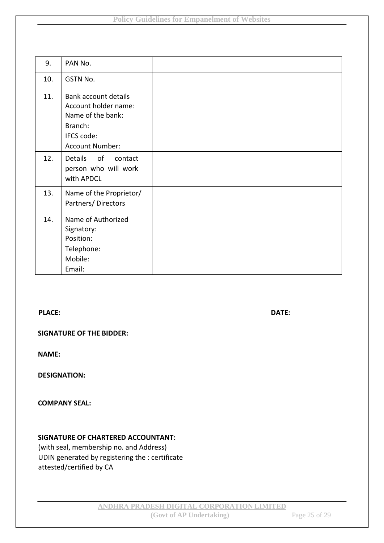| 9.  | PAN No.                                                                                                       |  |
|-----|---------------------------------------------------------------------------------------------------------------|--|
| 10. | GSTN No.                                                                                                      |  |
| 11. | Bank account details<br>Account holder name:<br>Name of the bank:<br>Branch:<br>IFCS code:<br>Account Number: |  |
| 12. | Details of<br>contact<br>person who will work<br>with APDCL                                                   |  |
| 13. | Name of the Proprietor/<br>Partners/Directors                                                                 |  |
| 14. | Name of Authorized<br>Signatory:<br>Position:<br>Telephone:<br>Mobile:<br>Email:                              |  |

#### **PLACE:** DATE:

**SIGNATURE OF THE BIDDER:** 

**NAME:** 

**DESIGNATION:** 

**COMPANY SEAL:** 

#### **SIGNATURE OF CHARTERED ACCOUNTANT:**

(with seal, membership no. and Address) UDIN generated by registering the : certificate attested/certified by CA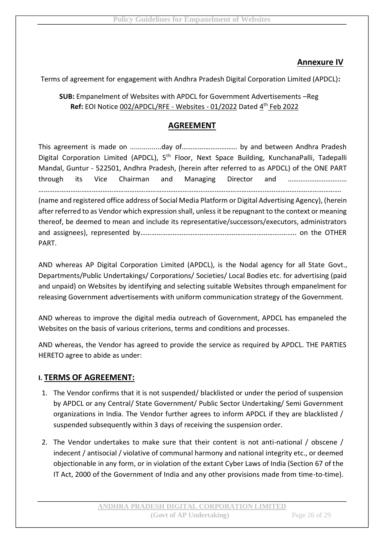# **Annexure IV**

Terms of agreement for engagement with Andhra Pradesh Digital Corporation Limited (APDCL)**:** 

**SUB:** Empanelment of Websites with APDCL for Government Advertisements –Reg Ref: EOI Notice 002/APDCL/RFE - Websites - 01/2022 Dated 4<sup>th</sup> Feb 2022

# **AGREEMENT**

This agreement is made on ................day of………….……………… by and between Andhra Pradesh Digital Corporation Limited (APDCL), 5<sup>th</sup> Floor, Next Space Building, KunchanaPalli, Tadepalli Mandal, Guntur - 522501, Andhra Pradesh, (herein after referred to as APDCL) of the ONE PART through its Vice Chairman and Managing Director and …………………………… . The contract of the contract of the contract of the contract of the contract of the contract of the contract of the contract of the contract of the contract of the contract of the contract of the contract of the contrac (name and registered office address of Social Media Platform or Digital Advertising Agency), (herein

after referred to as Vendor which expression shall, unless it be repugnant to the context or meaning thereof, be deemed to mean and include its representative/successors/executors, administrators and assignees), represented by……………………..……………………………………………..…….. on the OTHER PART.

AND whereas AP Digital Corporation Limited (APDCL), is the Nodal agency for all State Govt., Departments/Public Undertakings/ Corporations/ Societies/ Local Bodies etc. for advertising (paid and unpaid) on Websites by identifying and selecting suitable Websites through empanelment for releasing Government advertisements with uniform communication strategy of the Government.

AND whereas to improve the digital media outreach of Government, APDCL has empaneled the Websites on the basis of various criterions, terms and conditions and processes.

AND whereas, the Vendor has agreed to provide the service as required by APDCL. THE PARTIES HERETO agree to abide as under:

# **I. TERMS OF AGREEMENT:**

- 1. The Vendor confirms that it is not suspended/ blacklisted or under the period of suspension by APDCL or any Central/ State Government/ Public Sector Undertaking/ Semi Government organizations in India. The Vendor further agrees to inform APDCL if they are blacklisted / suspended subsequently within 3 days of receiving the suspension order.
- 2. The Vendor undertakes to make sure that their content is not anti-national / obscene / indecent / antisocial / violative of communal harmony and national integrity etc., or deemed objectionable in any form, or in violation of the extant Cyber Laws of India (Section 67 of the IT Act, 2000 of the Government of India and any other provisions made from time-to-time).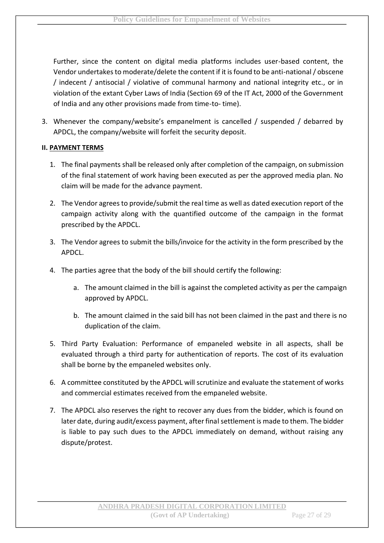Further, since the content on digital media platforms includes user-based content, the Vendor undertakes to moderate/delete the content if it is found to be anti-national / obscene / indecent / antisocial / violative of communal harmony and national integrity etc., or in violation of the extant Cyber Laws of India (Section 69 of the IT Act, 2000 of the Government of India and any other provisions made from time-to- time).

3. Whenever the company/website's empanelment is cancelled / suspended / debarred by APDCL, the company/website will forfeit the security deposit.

#### **II. PAYMENT TERMS**

- 1. The final payments shall be released only after completion of the campaign, on submission of the final statement of work having been executed as per the approved media plan. No claim will be made for the advance payment.
- 2. The Vendor agrees to provide/submit the real time as well as dated execution report of the campaign activity along with the quantified outcome of the campaign in the format prescribed by the APDCL.
- 3. The Vendor agrees to submit the bills/invoice for the activity in the form prescribed by the APDCL.
- 4. The parties agree that the body of the bill should certify the following:
	- a. The amount claimed in the bill is against the completed activity as per the campaign approved by APDCL.
	- b. The amount claimed in the said bill has not been claimed in the past and there is no duplication of the claim.
- 5. Third Party Evaluation: Performance of empaneled website in all aspects, shall be evaluated through a third party for authentication of reports. The cost of its evaluation shall be borne by the empaneled websites only.
- 6. A committee constituted by the APDCL will scrutinize and evaluate the statement of works and commercial estimates received from the empaneled website.
- 7. The APDCL also reserves the right to recover any dues from the bidder, which is found on later date, during audit/excess payment, after final settlement is made to them. The bidder is liable to pay such dues to the APDCL immediately on demand, without raising any dispute/protest.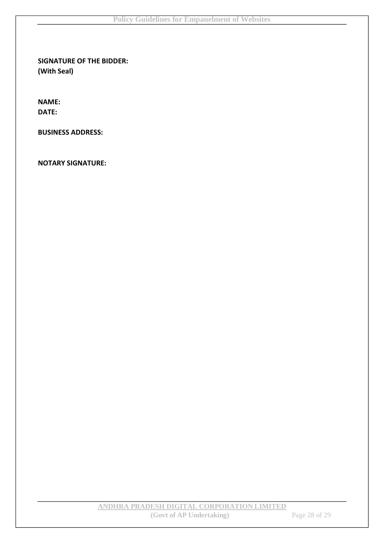**SIGNATURE OF THE BIDDER: (With Seal)** 

**NAME: DATE:** 

**BUSINESS ADDRESS:** 

**NOTARY SIGNATURE:**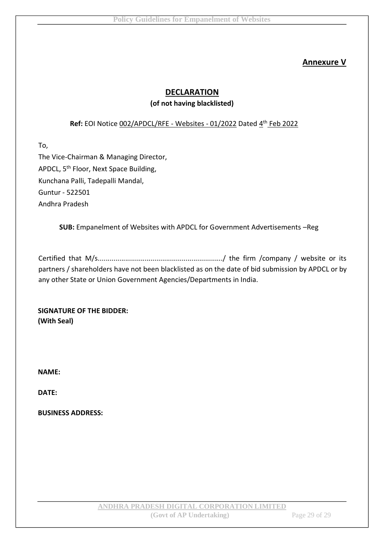# **Annexure V**

### **DECLARATION**

#### **(of not having blacklisted)**

#### Ref: EOI Notice 002/APDCL/RFE - Websites - 01/2022 Dated 4<sup>th</sup> Feb 2022

To,

The Vice-Chairman & Managing Director, APDCL, 5th Floor, Next Space Building, Kunchana Palli, Tadepalli Mandal, Guntur - 522501 Andhra Pradesh

**SUB:** Empanelment of Websites with APDCL for Government Advertisements –Reg

Certified that M/s................................................................/ the firm /company / website or its partners / shareholders have not been blacklisted as on the date of bid submission by APDCL or by any other State or Union Government Agencies/Departments in India.

**SIGNATURE OF THE BIDDER: (With Seal)** 

**NAME:** 

**DATE:** 

**BUSINESS ADDRESS:**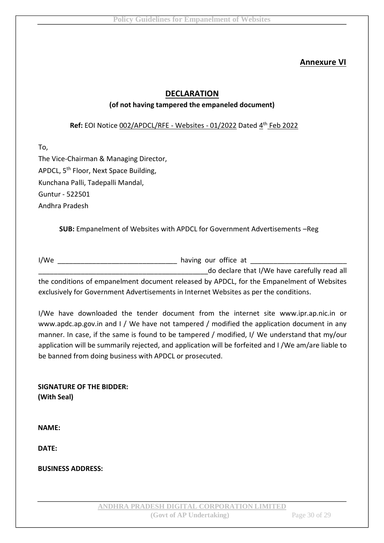# **Annexure VI**

#### **DECLARATION**

#### **(of not having tampered the empaneled document)**

Ref: EOI Notice 002/APDCL/RFE - Websites - 01/2022 Dated 4<sup>th</sup> Feb 2022

To, The Vice-Chairman & Managing Director, APDCL, 5<sup>th</sup> Floor, Next Space Building, Kunchana Palli, Tadepalli Mandal, Guntur - 522501 Andhra Pradesh

**SUB:** Empanelment of Websites with APDCL for Government Advertisements –Reg

I/We \_\_\_\_\_\_\_\_\_\_\_\_\_\_\_\_\_\_\_\_\_\_\_\_\_\_\_\_\_\_\_ having our office at \_\_\_\_\_\_\_\_\_\_\_\_\_\_\_\_\_\_\_\_\_\_\_\_\_

\_\_\_\_\_\_\_\_\_\_\_\_\_\_\_\_\_\_\_\_\_\_\_\_\_\_\_\_\_\_\_\_\_\_\_\_\_\_\_\_\_\_\_\_do declare that I/We have carefully read all the conditions of empanelment document released by APDCL, for the Empanelment of Websites exclusively for Government Advertisements in Internet Websites as per the conditions.

I/We have downloaded the tender document from the internet site www.ipr.ap.nic.in or www.apdc.ap.gov.in and I / We have not tampered / modified the application document in any manner. In case, if the same is found to be tampered / modified, I/ We understand that my/our application will be summarily rejected, and application will be forfeited and I /We am/are liable to be banned from doing business with APDCL or prosecuted.

**SIGNATURE OF THE BIDDER: (With Seal)** 

**NAME:** 

**DATE:** 

**BUSINESS ADDRESS:**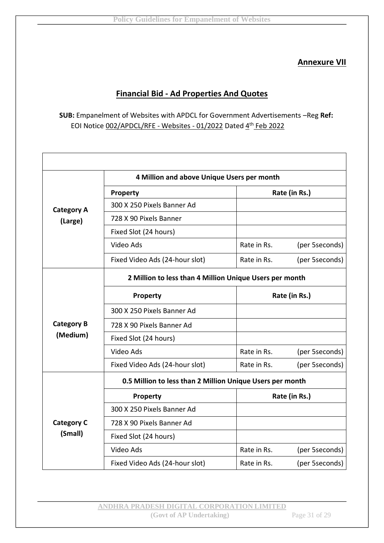# **Annexure VII**

# **Financial Bid - Ad Properties And Quotes**

**SUB:** Empanelment of Websites with APDCL for Government Advertisements –Reg **Ref:** EOI Notice 002/APDCL/RFE - Websites - 01/2022 Dated 4th Feb 2022

|                                                         | 4 Million and above Unique Users per month                |               |                |  |
|---------------------------------------------------------|-----------------------------------------------------------|---------------|----------------|--|
|                                                         | Property                                                  | Rate (in Rs.) |                |  |
| <b>Category A</b>                                       | 300 X 250 Pixels Banner Ad                                |               |                |  |
| (Large)                                                 | 728 X 90 Pixels Banner                                    |               |                |  |
|                                                         | Fixed Slot (24 hours)                                     |               |                |  |
|                                                         | Video Ads                                                 | Rate in Rs.   | (per 5seconds) |  |
|                                                         | Fixed Video Ads (24-hour slot)                            | Rate in Rs.   | (per 5seconds) |  |
| 2 Million to less than 4 Million Unique Users per month |                                                           |               |                |  |
|                                                         | Property                                                  | Rate (in Rs.) |                |  |
|                                                         | 300 X 250 Pixels Banner Ad                                |               |                |  |
| <b>Category B</b>                                       | 728 X 90 Pixels Banner Ad                                 |               |                |  |
| (Medium)                                                | Fixed Slot (24 hours)                                     |               |                |  |
|                                                         | Video Ads                                                 | Rate in Rs.   | (per 5seconds) |  |
|                                                         | Fixed Video Ads (24-hour slot)                            | Rate in Rs.   | (per 5seconds) |  |
|                                                         | 0.5 Million to less than 2 Million Unique Users per month |               |                |  |
|                                                         | Property                                                  |               | Rate (in Rs.)  |  |
|                                                         | 300 X 250 Pixels Banner Ad                                |               |                |  |
| <b>Category C</b>                                       | 728 X 90 Pixels Banner Ad                                 |               |                |  |
| (Small)                                                 | Fixed Slot (24 hours)                                     |               |                |  |
|                                                         | Video Ads                                                 | Rate in Rs.   | (per 5seconds) |  |
|                                                         | Fixed Video Ads (24-hour slot)                            | Rate in Rs.   | (per 5seconds) |  |